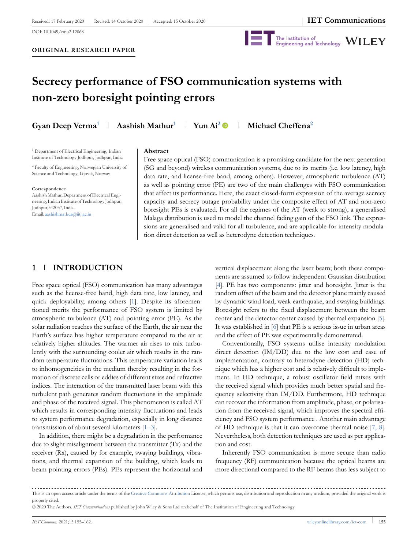DOI: 10.1049/cmu2.12068



# **Secrecy performance of FSO communication systems with non-zero boresight pointing errors**

**Gyan Deep Verma<sup>1</sup> Aashish Mathur<sup>1</sup> Yun Ai<sup>2</sup> Michael Cheffena<sup>2</sup>**

<sup>1</sup> Department of Electrical Engineering, Indian Institute of Technology Jodhpur, Jodhpur, India

<sup>2</sup> Faculty of Engineering, Norwegian University of Science and Technology, Gjovik, Norway

#### **Correspondence**

Aashish Mathur, Department of Electrical Engineering, Indian Institute of Technology Jodhpur, Jodhpur,342037, India. Email: aashishmathur@iitj.ac.in

#### **Abstract**

Free space optical (FSO) communication is a promising candidate for the next generation (5G and beyond) wireless communication systems, due to its merits (i.e. low latency, high data rate, and license-free band, among others). However, atmospheric turbulence (AT) as well as pointing error (PE) are two of the main challenges with FSO communication that affect its performance. Here, the exact closed-form expression of the average secrecy capacity and secrecy outage probability under the composite effect of AT and non-zero boresight PEs is evaluated. For all the regimes of the AT (weak to strong), a generalised Malaga distribution is used to model the channel fading gain of the FSO link. The expressions are generalised and valid for all turbulence, and are applicable for intensity modulation direct detection as well as heterodyne detection techniques.

## **1 INTRODUCTION**

Free space optical (FSO) communication has many advantages such as the license-free band, high data rate, low latency, and quick deployability, among others [1]. Despite its aforementioned merits the performance of FSO system is limited by atmospheric turbulence (AT) and pointing error (PE). As the solar radiation reaches the surface of the Earth, the air near the Earth's surface has higher temperature compared to the air at relatively higher altitudes. The warmer air rises to mix turbulently with the surrounding cooler air which results in the random temperature fluctuations. This temperature variation leads to inhomogeneities in the medium thereby resulting in the formation of discrete cells or eddies of different sizes and refractive indices. The interaction of the transmitted laser beam with this turbulent path generates random fluctuations in the amplitude and phase of the received signal. This phenomenon is called AT which results in corresponding intensity fluctuations and leads to system performance degradation, especially in long distance transmission of about several kilometers [1–3].

In addition, there might be a degradation in the performance due to slight misalignment between the transmitter (Tx) and the receiver (Rx), caused by for example, swaying buildings, vibrations, and thermal expansion of the building, which leads to beam pointing errors (PEs). PEs represent the horizontal and

vertical displacement along the laser beam; both these components are assumed to follow independent Gaussian distribution [4]. PE has two components: jitter and boresight. Jitter is the random offset of the beam and the detector plane mainly caused by dynamic wind load, weak earthquake, and swaying buildings. Boresight refers to the fixed displacement between the beam center and the detector center caused by thermal expansion [5]. It was established in [6] that PE is a serious issue in urban areas and the effect of PE was experimentally demonstrated.

Conventionally, FSO systems utilise intensity modulation direct detection (IM/DD) due to the low cost and ease of implementation, contrary to heterodyne detection (HD) technique which has a higher cost and is relatively difficult to implement. In HD technique, a robust oscillator field mixes with the received signal which provides much better spatial and frequency selectivity than IM/DD. Furthermore, HD technique can recover the information from amplitude, phase, or polarisation from the received signal, which improves the spectral efficiency and FSO system performance . Another main advantage of HD technique is that it can overcome thermal noise [7, 8]. Nevertheless, both detection techniques are used as per application and cost.

Inherently FSO communication is more secure than radio frequency (RF) communication because the optical beams are more directional compared to the RF beams thus less subject to

This is an open access article under the terms of the Creative Commons Attribution License, which permits use, distribution and reproduction in any medium, provided the original work is properly cited.

<sup>© 2020</sup> The Authors. *IET Communications* published by John Wiley & Sons Ltd on behalf of The Institution of Engineering and Technology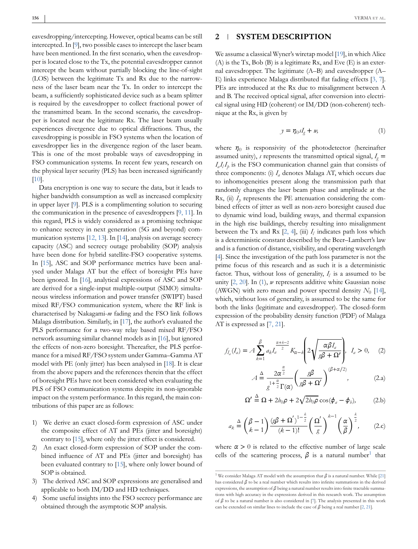eavesdropping/intercepting. However, optical beams can be still intercepted. In [9], two possible cases to intercept the laser beam have been mentioned. In the first scenario, when the eavesdropper is located close to the Tx, the potential eavesdropper cannot intercept the beam without partially blocking the line-of-sight (LOS) between the legitimate Tx and Rx due to the narrowness of the laser beam near the Tx. In order to intercept the beam, a sufficiently sophisticated device such as a beam splitter is required by the eavesdropper to collect fractional power of the transmitted beam. In the second scenario, the eavesdropper is located near the legitimate Rx. The laser beam usually experiences divergence due to optical diffractions. Thus, the eavesdropping is possible in FSO systems when the location of eavesdropper lies in the divergence region of the laser beam. This is one of the most probable ways of eavesdropping in FSO communication systems. In recent few years, research on the physical layer security (PLS) has been increased significantly [10].

Data encryption is one way to secure the data, but it leads to higher bandwidth consumption as well as increased complexity in upper layer [9]. PLS is a complimenting solution to securing the communication in the presence of eavesdroppers [9, 11]. In this regard, PLS is widely considered as a promising technique to enhance secrecy in next generation (5G and beyond) communication systems [12, 13]. In [14], analysis on average secrecy capacity (ASC) and secrecy outage probability (SOP) analysis have been done for hybrid satellite-FSO cooperative systems. In [15], ASC and SOP performance metrics have been analysed under Malaga AT but the effect of boresight PEs have been ignored. In [16], analytical expressions of ASC and SOP are derived for a single-input multiple-output (SIMO) simultaneous wireless information and power transfer (SWIPT) based mixed RF/FSO communication system, where the RF link is characterised by Nakagami-*m* fading and the FSO link follows Malaga distribution. Similarly, in [17], the author's evaluated the PLS performance for a two-way relay based mixed RF/FSO network assuming similar channel models as in [16], but ignored the effects of non-zero boresight. Thereafter, the PLS performance for a mixed RF/FSO system under Gamma–Gamma AT model with PE (only jitter) has been analysed in [18]. It is clear from the above papers and the references therein that the effect of boresight PEs have not been considered when evaluating the PLS of FSO communication systems despite its non-ignorable impact on the system performance. In this regard, the main contributions of this paper are as follows:

- 1) We derive an exact closed-form expression of ASC under the composite effect of AT and PEs (jitter and boresight) contrary to [15], where only the jitter effect is considered.
- 2) An exact closed-form expression of SOP under the combined influence of AT and PEs (jitter and boresight) has been evaluated contrary to [15], where only lower bound of SOP is obtained.
- 3) The derived ASC and SOP expressions are generalised and applicable to both IM/DD and HD techniques.
- 4) Some useful insights into the FSO secrecy performance are obtained through the asymptotic SOP analysis.

#### **2 SYSTEM DESCRIPTION**

We assume a classical Wyner's wiretap model [19], in which Alice (A) is the Tx, Bob (B) is a legitimate Rx, and Eve (E) is an external eavesdropper. The legitimate (A–B) and eavesdropper (A– E) links experience Malaga distributed flat fading effects [3, 7]. PEs are introduced at the Rx due to misalignment between A and B. The received optical signal, after conversion into electrical signal using HD (coherent) or IM/DD (non-coherent) technique at the Rx, is given by

$$
y = \eta_0 s I_g + w,\tag{1}
$$

where  $\eta_0$  is responsivity of the photodetector (hereinafter assumed unity), *s* represents the transmitted optical signal,  $I<sub>g</sub>$  =  $I_a I_l I_p$  is the FSO communication channel gain that consists of three components: (i)  $I_a$  denotes Malaga AT, which occurs due to inhomogeneities present along the transmission path that randomly changes the laser beam phase and amplitude at the  $Rx$ , (ii)  $I_p$  represents the PE attenuation considering the combined effects of jitter as well as non-zero boresight caused due to dynamic wind load, building sways, and thermal expansion in the high rise buildings, thereby resulting into misalignment between the Tx and Rx  $[2, 4]$ , (iii)  $I<sub>l</sub>$  indicates path loss which is a deterministic constant described by the Beer–Lambert's law and is a function of distance, visibility, and operating wavelength [4]. Since the investigation of the path loss parameter is not the prime focus of this research and as such it is a deterministic factor. Thus, without loss of generality,  $I_l$  is a assumed to be unity [2, 20]. In (1), *w* represents additive white Gaussian noise (AWGN) with zero mean and power spectral density  $N_0$  [14], which, without loss of generality, is assumed to be the same for both the links (legitimate and eavesdropper). The closed-form expression of the probability density function (PDF) of Malaga AT is expressed as [7, 21].

$$
f_{I_a}(I_a) = A \sum_{k=1}^{\beta} a_k I_a^{\frac{\alpha+k-2}{2}} K_{\alpha-k} \left( 2 \sqrt{\frac{\alpha \beta I_a}{g \beta + \Omega'}} \right), \quad I_a > 0, \quad (2)
$$

$$
A \stackrel{\Delta}{=} \frac{2\alpha^{\frac{\alpha}{2}}}{g^{1+\frac{\alpha}{2}}\Gamma(\alpha)} \left(\frac{g\beta}{g\beta+\Omega'}\right)^{(\beta+\alpha/2)}, \tag{2.a}
$$

$$
\Omega' \stackrel{\Delta}{=} \Omega + 2b_0 \rho + 2\sqrt{2b_0 \rho} \cos(\phi_a - \phi_b), \tag{2.b}
$$

$$
a_k \stackrel{\Delta}{=} \left(\frac{\beta - 1}{k - 1}\right) \frac{\left(g\beta + \Omega'\right)^{1 - \frac{k}{2}}}{\left(k - 1\right)!} \left(\frac{\Omega'}{g}\right)^{k - 1} \left(\frac{\alpha}{\beta}\right)^{\frac{k}{2}}, \qquad (2.c)
$$

where  $\alpha > 0$  is related to the effective number of large scale cells of the scattering process,  $\beta$  is a natural number<sup>1</sup> that

<sup>&</sup>lt;sup>1</sup> We consider Malaga AT model with the assumption that  $\beta$  is a natural number. While [21] has considered  $\beta$  to be a real number which results into infinite summations in the derived expressions, the assumption of  $\beta$  being a natural number results into finite tractable summations with high accuracy in the expressions derived in this research work. The assumption of  $\beta$  to be a natural number is also considered in [7]. The analysis presented in this work can be extended on similar lines to include the case of  $\beta$  being a real number [2, 21].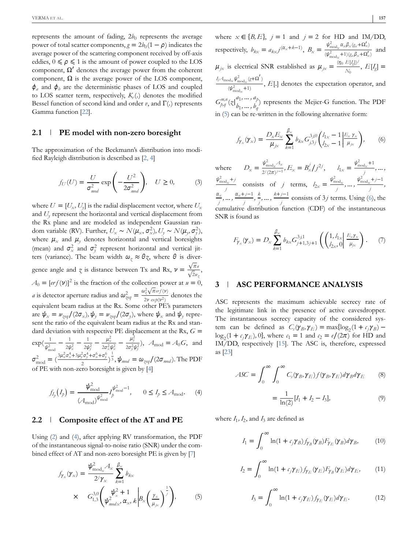$represents the amount of fading, 2b<sub>0</sub> represents the average$ power of total scatter components,  $g = 2b_0(1 - \rho)$  indicates the average power of the scattering component received by off-axis eddies,  $0 \le \rho \le 1$  is the amount of power coupled to the LOS component,  $\Omega'$  denotes the average power from the coherent component,  $\Omega$  is the average power of the LOS component,  $\phi$ <sub>a</sub> and  $\phi$ <sub>b</sub> are the deterministic phases of LOS and coupled to LOS scatter term, respectively,  $K_v$  (.) denotes the modified Bessel function of second kind and order  $\nu$ , and  $\Gamma$ (.) represents Gamma function [22].

#### **2.1 PE model with non-zero boresight**

The approximation of the Beckmann's distribution into modified Rayleigh distribution is described as [2, 4]

$$
f_U(U) = \frac{U}{\sigma_{mod}^2} \exp\left(-\frac{U^2}{2\sigma_{mod}^2}\right), \quad U \ge 0,
$$
 (3)

where  $U = [U_x, U_y]$  is the radial displacement vector, where  $U_x$ and *U<sup>y</sup>* represent the horizontal and vertical displacement from the Rx plane and are modeled as independent Gaussian random variable (RV). Further,  $U_x \sim N(\mu_x, \sigma_x^2), U_y \sim N(\mu_y, \sigma_y^2),$ where  $\mu_{\scriptscriptstyle \mathcal{X}}$  and  $\mu_{\scriptscriptstyle \mathcal{Y}}$  denotes horizontal and vertical boresights (mean) and  $\sigma_x^2$  and  $\sigma_y^2$  represent horizontal and vertical jitters (variance). The beam width  $\omega_z \approx \theta z$ , where  $\theta$  is divergence angle and *z* is distance between Tx and Rx,  $v = \frac{\sqrt{\pi a}}{\sqrt{2}}$  $\frac{\sqrt{2w}}{\sqrt{2w_z}}$  $A_0 = [erf(\nu)]^2$  is the fraction of the collection power at  $u = 0$ , *a* is detector aperture radius and  $\omega_{\text{geq}q}^2 = \frac{\omega_{\text{e}}^2 \sqrt{\pi} \text{erf}(\nu)}{2\nu \text{ sech}(\nu^2)}$  $\frac{2\nu \exp(\nu^2)}{2\nu \exp(\nu^2)}$  denotes the equivalent beam radius at the Rx. Some other PE's parameters are  $\psi_x = \psi_{\chi eq} / (2\sigma_{\chi}), \psi_y = \psi_{\chi eq} / (2\sigma_{y}),$  where  $\psi_{\chi}$  and  $\psi_{y}$  represent the ratio of the equivalent beam radius at the Rx and standard deviation with respective PE displacement at the Rx, *G* =  $\exp(\frac{1}{\psi_{\rm mod}^2})$  $-\frac{1}{2}$  $rac{1}{2\psi_x^2} - \frac{1}{2\psi_y^2}$  $\frac{1}{2\psi_{y}^{2}}-\frac{\mu_{x}^{2}}{2\sigma_{x}^{2}y}$  $\frac{\mu_{\rm x}^2}{2\sigma_{\rm x}^2\psi_{\rm x}^2} - \frac{\mu_{\rm y}^2}{2\sigma_{\rm y}^2\eta_{\rm y}^2}$  $\frac{\mu_y}{2\sigma_y^2 \psi_y^2}$ ,  $A_{\text{mod}} = A_0 G$ , and  $\sigma_{\rm mod}^2 = (\frac{3\mu_x^2\sigma_x^4 + 3\mu_y^2\sigma_y^4 + \sigma_x^6 + \sigma_y^6}{2})$  $\frac{\partial^2 \sigma_y^4 + \sigma_x^6 + \sigma_y^6}{\partial z}$ ,  $\frac{1}{2}$ ,  $\psi_{mod} = \omega_{\text{geq}q}/(2\sigma_{mod})$ . The PDF of PE with non-zero boresight is given by [4]

$$
f_{I_p}(I_p) = \frac{\psi_{\text{mod}}^2}{\left(A_{\text{mod}}\right)^{\psi_{\text{mod}}^2}} I_p^{\psi_{\text{mod}}^2 - 1}, \qquad 0 \le I_p \le A_{\text{mod}}.\tag{4}
$$

#### **2.2 Composite effect of the AT and PE**

Using (2) and (4), after applying RV transformation, the PDF of the instantaneous signal-to-noise ratio (SNR) under the combined effect of AT and non-zero boresight PE is given by [7]

$$
f_{\gamma_x}(\gamma_x) = \frac{\psi_{\text{mod}_x}^2 A_x}{2^j \gamma_x} \sum_{k=1}^{\beta_x} b_{kx}
$$
  
 
$$
\times \quad G_{1,3}^{3,0} \left( \psi_x^2 + 1 \right) \left( \psi_{\text{mod } x}^2, \alpha_x, k \right) B_x \left( \frac{\gamma_x}{\mu_{jx}} \right)^{\frac{1}{j}}, \quad (5)
$$

where  $x \in \{B, E\}$ ,  $j = 1$  and  $j = 2$  for HD and IM/DD, respectively,  $b_{kx} = a_{kx}j^{(\alpha_x+k-1)}$ ,  $B_x = \frac{\psi_{\text{mod}_x}^2 \alpha_x \beta_x(\alpha_x+\Omega'_x)}{\omega^2}$  $\frac{1}{(\psi_{\text{mod}_x}^2+1)(g_x\beta_x+\Omega'_x)}$  and  $\mu_{jx}$  is electrical SNR established as  $\mu_{jx} = \frac{(\eta_0 E[I_g])^2}{N_b}$  $E_{\frac{[lg]}{N_0}}$ ,  $E[I_g] =$  $I_l A_{\text{mod}_X} \psi_{\text{mod}_X}^2 (g + \Omega')$  $(\psi_{\text{mod}_x}^2 + 1)$ , *E*[.] denotes the expectation operator, and  $G_{p,q}^{m,n}(z|_{b_1}^{a_1},...,a_p)$  $b_1, \ldots, b_q$ <sup>*p*</sup>) represents the Mejier-G function. The PDF in (5) can be re-written in the following alternative form:

$$
f_{\gamma_x}(\gamma_x) = \frac{D_x E_x}{\mu_{jx}} \sum_{k=1}^{\beta_x} b_{kx} G_{j,3j}^{3j0} \left( \frac{l_{1x} - 1}{l_{2x} - 1} \middle| \frac{E_x \gamma_x}{\mu_{jx}} \right), \qquad (6)
$$

where  $D_x = \frac{\psi_{\text{mod}_x}^2 A_x}{\psi_{\text{mod}_x}^2}$  $\frac{\psi_{\text{mod}_x}^2 A_x}{2^j (2\pi)^{j-1}}$ ,  $E_x = B_x^j / j^{2j}$ ,  $l_{1x} = \frac{\psi_{\text{mod}_x}^2 + 1}{j}$ *j ,* … *,*  $\frac{\psi_{\text{mod}_x}^2 + j}{\psi_{\text{mod}_x}^2}$  $\frac{d_x + j}{j}$  consists of *j* terms,  $l_{2x} = \frac{\psi_{\text{mod}_x}^2}{j}$  $\frac{\phi_{\text{mod}_x}^2}{j}, \dots, \frac{\phi_{\text{mod}_x}^2 + j - 1}{j}$ *j ,*  $\alpha_{\rm x}$ *j ,* … *, x*+ *j*−1 *j , k j ,* … *, k*+ *j*−1  $\frac{y}{j}$  consists of 3*j* terms. Using (6), the cumulative distribution function (CDF) of the instantaneous SNR is found as

$$
F_{\gamma_x}(\gamma_x) = D_x \sum_{k=1}^{\beta_x} b_{kx} G_{j+1,3j+1}^{3j,1} \left( \binom{1, l_{1x}}{l_{2x}, 0} \frac{E_x \gamma_x}{\mu_{jx}} \right). \tag{7}
$$

## **3 ASC PERFORMANCE ANALYSIS**

ASC represents the maximum achievable secrecy rate of the legitimate link in the presence of active eavesdropper. The instantaneous secrecy capacity of the considered system can be defined as  $C_s(\gamma_B, \gamma_E) = \max\{\log_2(1 + c_j \gamma_B) - \}$  $\log_2(1 + \epsilon_j \gamma_E)$ , 0}, where  $\epsilon_1 = 1$  and  $\epsilon_2 = e/(2\pi)$  for HD and IM/DD, respectively [15]. The ASC is, therefore, expressed as [23]

$$
ASC = \int_0^\infty \int_0^\infty C_s(\gamma_B, \gamma_E) f(\gamma_B, \gamma_E) d\gamma_B d\gamma_E \tag{8}
$$

$$
=\frac{1}{\ln(2)}[I_1 + I_2 - I_3],\tag{9}
$$

where  $I_1$ ,  $I_2$ , and  $I_3$  are defined as

$$
I_1 = \int_0^\infty \ln(1 + c_j \gamma_B) f_{\gamma_B}(\gamma_B) F_{\gamma_E}(\gamma_B) d\gamma_B, \qquad (10)
$$

$$
I_2 = \int_0^\infty \ln(1 + c_j \gamma_E) f_{\gamma_E}(\gamma_E) F_{\gamma_B}(\gamma_E) d\gamma_E, \qquad (11)
$$

$$
I_3 = \int_0^\infty \ln(1 + c_j \gamma_E) f_{\gamma_E}(\gamma_E) d\gamma_E.
$$
 (12)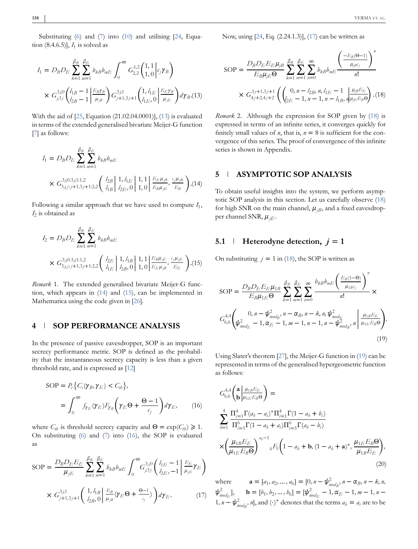Substituting (6) and (7) into (10) and utilising [24, Equation  $(8.4.6.5)$ ],  $I_1$  is solved as

$$
I_{1} = D_{B}D_{E} \sum_{k=1}^{\beta_{B}} \sum_{m=1}^{\beta_{E}} b_{kB}b_{mE} \int_{0}^{\infty} G_{2,2}^{1,2} \binom{1,1}{1,0} c_{j} \gamma_{B}
$$
  
 
$$
\times G_{j,3j}^{3,0} \left( \frac{l_{1B} - 1}{l_{2B} - 1} \left| \frac{E_{B} \gamma_{B}}{\mu_{jB}} \right| \right) G_{j+1,3j+1}^{3,11} \left( \frac{1, l_{1E}}{l_{1E}, 0} \left| \frac{E_{E} \gamma_{B}}{\mu_{jE}} \right| d \gamma_{B}. (13)
$$

With the aid of [25, Equation (21.02.04.0001)], (13) is evaluated in terms of the extended generalised bivariate Meijer-G function [7] as follows:

$$
I_1 = D_B D_E \sum_{k=1}^{\beta_B} \sum_{m=1}^{\beta_E} b_{kB} b_{mE}
$$
  
 
$$
\times G_{3,j,j;j+1,3j+1:2,2}^{3,j0:3,j1:1,2} \left( \begin{array}{c} l_{2B} \\ l_{1B} \end{array} \middle| 1, l_E \middle| 1, 1 \right| \frac{E_E \mu_{jB}}{E_B \mu_{jE}}, \frac{\epsilon_j \mu_{jB}}{E_B} \right) . (14)
$$

Following a similar approach that we have used to compute *I*<sup>1</sup> , *I*2 is obtained as

$$
I_2 = D_B D_E \sum_{k=1}^{\beta_B} \sum_{m=1}^{\beta_E} b_{kB} b_{mE}
$$
  
 
$$
\times G_{3,j,j;j+1,3j+1:2,2}^{3,j0:3,j1:1,2} \left( \begin{array}{c} l_{2E} \\ l_{1E} \end{array} \middle| 1, l_{1B} \right| 1, 1 \left| \frac{E_B \mu_{jE}}{E_E \mu_{jB}}, \frac{\epsilon_j \mu_{jE}}{E_E} \right). (15)
$$

*Remark* 1. The extended generalised bivariate Meijer-G function, which appears in (14) and (15), can be implemented in Mathematica using the code given in [26].

#### **4 SOP PERFORMANCE ANALYSIS**

In the presence of passive eavesdropper, SOP is an important secrecy performance metric. SOP is defined as the probability that the instantaneous secrecy capacity is less than a given threshold rate, and is expressed as [12]

$$
SOP = P_r \{ C_s(\gamma_B, \gamma_E) < C_{th} \},
$$
\n
$$
= \int_0^\infty f_{\gamma_E}(\gamma_E) F_{\gamma_B} \left( \gamma_E \Theta + \frac{\Theta - 1}{c_j} \right) d\gamma_E, \qquad (16)
$$

where  $C_{th}$  is threshold secrecy capacity and  $\Theta = \exp(C_{th}) \geq 1$ . On substituting  $(6)$  and  $(7)$  into  $(16)$ , the SOP is evaluated as

$$
SOP = \frac{D_B D_E E_E}{\mu_{jE}} \sum_{k=1}^{\beta_B} \sum_{m=1}^{\beta_E} b_{kB} b_{mE} \int_0^\infty G_{j,3j}^{3j0} \left( \frac{l_{1E} - 1}{l_{2E}} \right) \frac{E_E}{\mu_{jE}} \gamma_E \right)
$$

$$
\times G_{j+1,3j+1}^{3j1} \left( \frac{1}{l_{2B}, 0} \right) \frac{E_B}{\mu_{jB}} (\gamma_E \Theta + \frac{\Theta - 1}{\epsilon_j}) \Big) d\gamma_E. \tag{17}
$$

Now, using [24, Eq. (2.24.1.3)], (17) can be written as

$$
SOP = \frac{D_B D_E E_E \mu_{jB}}{E_B \mu_{jE} \Theta} \sum_{k=1}^{\beta_B} \sum_{m=1}^{\beta_E} \sum_{n=0}^{\infty} b_{kB} b_{mE} \frac{\left(\frac{-E_B(\Theta - 1)}{\mu_{jB}c_j}\right)^n}{n!}
$$

$$
\times G_{4j+2,4j+2}^{3j+1,3j+1} \left( \left( \begin{array}{c} 0, n - l_{2B}, n, l_{1E} - 1 \\ l_{2E} - 1, n - 1, n - l_{1B}, n \mu_{jE} E_B \Theta \end{array} \right) . (18)
$$

*Remark* 2. Although the expression for SOP given by (18) is expressed in terms of an infinite series, it converges quickly for finitely small values of *n*, that is,  $n = 8$  is sufficient for the convergence of this series. The proof of convergence of this infinite series is shown in Appendix.

### **5 ASYMPTOTIC SOP ANALYSIS**

To obtain useful insights into the system, we perform asymptotic SOP analysis in this section. Let us carefully observe (18) for high SNR on the main channel,  $\mu_{iB}$ , and a fixed eavesdropper channel SNR,  $\mu_{iE}$ .

# **5.1 Heterodyne detection,**  $j = 1$

On substituting  $j = 1$  in (18), the SOP is written as

$$
SOP = \frac{D_B D_E E_E \mu_{1B}}{E_B \mu_{1E} \Theta} \sum_{k=1}^{\beta_B} \sum_{m=1}^{\beta_E} \sum_{n=0}^{\infty} \frac{b_{kB} b_{mE} \left(\frac{E_B(1-\Theta)}{\mu_{1B} \epsilon_j}\right)^n}{n!} \times
$$
  

$$
G_{6,6}^{4,4} \left(\psi_{mod_E}^2 - 1, \alpha_E - 1, m-1, n-1, n-\psi_{mod_B}^2, n \middle| \frac{\mu_{1B} E_E}{\mu_{1E} E_B \Theta}\right).
$$
  
(19)

Using Slater's theorem [27], the Meijer-G function in (19) can be represented in terms of the generalised hypergeometric function as follows:

$$
G_{6,6}^{4,4} \left( \begin{array}{l} \mathbf{a} \Big| \frac{\mu_{1B} E_E}{\mu_{1E} E_B \Theta} \right) = \\ \sum_{b=1}^4 \frac{\Pi_{i=1}^4 \Gamma(a_b - a_i)^* \Pi_{i=1}^4 \Gamma(1 - a_b + b_i)}{\Pi_{i=5}^6 \Gamma(1 - a_b + a_i) \Pi_{i=5}^6 \Gamma(a_b - b_i)} \\ \times \left( \frac{\mu_{1B} E_E}{\mu_{1E} E_B \Theta} \right)^{a_b - 1} {}_6F_5 \left( 1 - a_b + \mathbf{b}, (1 - a_b + \mathbf{a})^*, \frac{\mu_{1E} E_B \Theta}{\mu_{1B} E_E} \right), \tag{20}
$$

where  $\mathbf{a} = [a_1, a_2, \dots, a_6] = [0, n - \psi_{\text{mod}_B}^2, n - \alpha_B, n - k, n]$  $\psi_{mod_E}^2$ , **b** = [ $b_1, b_2, ..., b_6$ ] = [ $\psi_{mod_E}^2$  – 1,  $\alpha_E$  – 1,  $m$  – 1,  $n$  – 1,  $n - \psi_{\text{mod}_B}^2$ , n, and (⋅)<sup>\*</sup> denotes that the terms  $a_b = a_i$  are to be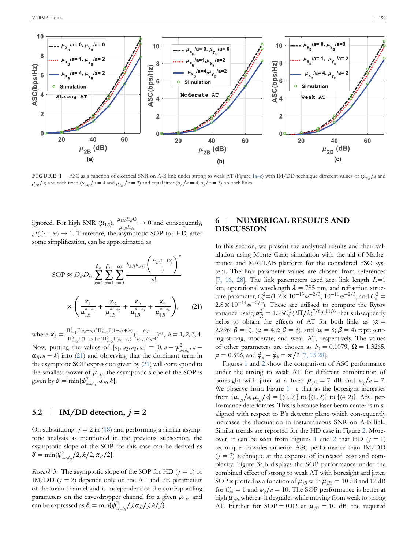

**FIGURE 1** ASC as a function of electrical SNR on A-B link under strong to weak AT (Figure 1a–c) with IM/DD technique different values of  $(\mu_{xB}/a$  and  $\mu_{y_B}/a$  and with fixed ( $\mu_{x_E}/a = 4$  and  $\mu_{y_E}/a = 3$ ) and equal jitter ( $\sigma_x/a = 4$ ,  $\sigma_y/a = 3$ ) on both links.

ignored. For high SNR  $(\mu_{1B})$ ,  $\frac{\mu_{1E}E_B\Theta}{\mu_{1B}E_E} \rightarrow 0$  and consequently,  $_{6}F_{5}(\cdot,\cdot,x) \rightarrow 1$ . Therefore, the asymptotic SOP for HD, after some simplification, can be approximated as

$$
\text{SOP} \approx D_B D_E \sum_{k=1}^{\beta_B} \sum_{m=1}^{\beta_E} \sum_{n=0}^{\infty} \frac{b_{kB} b_{mE} \left( \frac{E_B(1-\Theta)}{c_j} \right)^n}{n!}
$$

$$
\times \left( \frac{\kappa_1}{\mu_{1B}^{n-a_1}} + \frac{\kappa_2}{\mu_{1B}^{n-a_2}} + \frac{\kappa_3}{\mu_{1B}^{n-a_3}} + \frac{\kappa_4}{\mu_{1B}^{n-a_4}} \right), \qquad (21)
$$

where  $\kappa_b = \frac{\prod_{i=1}^4 \Gamma(a_i - a_i)^* \Pi_{i=1}^4 \Gamma(1 - a_b + b_i)}{\Pi^6 \Gamma(1 - a_i + a_i) \Pi^6 \Gamma(a_i - b_i)}$  $\prod_{i=1}^{5} \Gamma(a_i-a_i)^* \Pi_{i=1}^{7} \Gamma(1-a_b+b_i)$   $\prod_{i=5}^{6} \Gamma(1-a_i+b_i) \Pi_{i=5}^{6} \Gamma(a_b-b_i)$   $\mu_{1E} E$  $\frac{E_E}{\mu_{1E}E_B\Theta}$ <sup>2*a*</sup></sub>, *h* = 1, 2, 3, 4. Now, putting the values of  $[a_1, a_2, a_3, a_4] = [0, n - \psi_{mod_B}^2, n - \psi_{mod_B}^2]$  $\alpha_B$ , *n* − *k*] into (21) and observing that the dominant term in the asymptotic SOP expression given by (21) will correspond to the smallest power of  $\mu_{1B}$ , the asymptotic slope of the SOP is given by  $\delta = \min\{\psi_{\text{mod}_B}^2, \alpha_B, k\}.$ 

#### **5.2 IM/DD** detection,  $i = 2$

On substituting  $j = 2$  in (18) and performing a similar asymptotic analysis as mentioned in the previous subsection, the asymptotic slope of the SOP for this case can be derived as  $\delta = \min\{\psi_{mod_B}^2/2, k/2, \alpha_B/2\}.$ 

*Remark* 3. The asymptotic slope of the SOP for HD  $(j = 1)$  or IM/DD  $(j = 2)$  depends only on the AT and PE parameters of the main channel and is independent of the corresponding parameters on the eavesdropper channel for a given  $\mu_{1E}$  and can be expressed as  $\delta = \min\{\psi_{mod_B}^2 / j, \alpha_B / j, k / j\}.$ 

## **6 NUMERICAL RESULTS AND DISCUSSION**

In this section, we present the analytical results and their validation using Monte Carlo simulation with the aid of Mathematica and MATLAB platform for the considered FSO system. The link parameter values are chosen from references [7, 16, 28]. The link parameters used are: link length *L*=1 km, operational wavelength  $\lambda = 785$  nm, and refraction structure parameter,  $C_n^2 = (1.2 \times 10^{-13} m^{-2/3}, 10^{-11} m^{-2/3}, \text{ and } C_n^2 =$  $2.8 \times 10^{-14} m^{-2/3}$ ). These are utilised to compute the Rytov variance using  $\sigma_R^2 = 1.23 C_n^2 (2\Pi/\lambda)^{7/6} L^{11/6}$  that subsequently helps to obtain the effects of AT for both links as ( $\alpha$  = 2.296;  $\beta = 2$ ),  $(\alpha = 4.2; \beta = 3)$ , and  $(\alpha = 8; \beta = 4)$  representing strong, moderate, and weak AT, respectively. The values of other parameters are chosen as  $b_0 = 0.1079$ ,  $\Omega = 1.3265$ ,  $\rho = 0.596$ , and  $\phi_a - \phi_b = \pi/2$  [7, 15 28].

Figures 1 and 2 show the comparison of ASC performance under the strong to weak AT for different combination of boresight with jitter at a fixed  $\mu_{iE} = 7$  dB and  $w_z/a = 7$ . We observe from Figure 1– c that as the boresight increases from  $\{\mu_{x_B}/a, \mu_{y_B}/a\} = \{(0, 0)\}\)$  to  $\{(1, 2)\}$  to  $\{(4, 2)\}$ , ASC performance deteriorates. This is because laser beam center is misaligned with respect to B's detector plane which consequently increases the fluctuation in instantaneous SNR on A-B link. Similar trends are reported for the HD case in Figure 2. Moreover, it can be seen from Figures 1 and 2 that HD  $(j = 1)$ technique provides superior ASC performance than IM/DD  $(j = 2)$  technique at the expense of increased cost and complexity. Figure 3a,b displays the SOP performance under the combined effect of strong to weak AT with boresight and jitter. SOP is plotted as a function of  $\mu_{jB}$  with  $\mu_{jE} = 10$  dB and 12 dB for  $C_{th} = 1$  and  $w_z/a = 10$ . The SOP performance is better at high  $\mu_{jB}$ , whereas it degrades while moving from weak to strong AT. Further for SOP = 0.02 at  $\mu_{iE} = 10$  dB, the required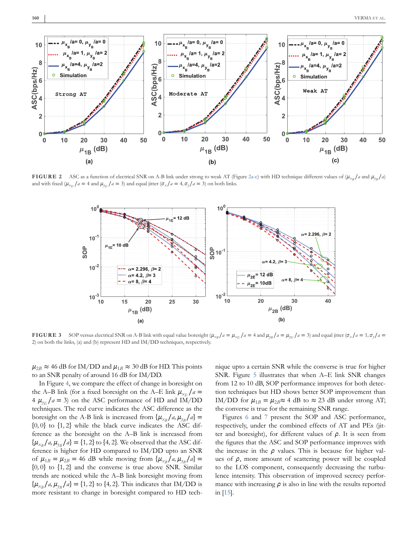

**FIGURE 2** ASC as a function of electrical SNR on A-B link under strong to weak AT (Figure 2a-c) with HD technique different values of  $(\mu_{x_B}/a$  and  $\mu_{y_B}/a)$ and with fixed ( $\mu_{X_E}/a = 4$  and  $\mu_{Y_E}/a = 3$ ) and equal jitter ( $\sigma_X/a = 4$ ,  $\sigma_y/a = 3$ ) on both links.



**FIGURE 3** SOP versus electrical SNR on A-B link with equal value boresight  $(\mu_{xB}/a = \mu_{xE}/a = 4$  and  $\mu_{yB}/a = \mu_{yE}/a = 3)$  and equal jitter  $(\sigma_x/a = 1, \sigma_y/a = 1)$ 2) on both the links, (a) and (b) represent HD and IM/DD techniques, respectively.

 $\mu_{2B} \approx 46$  dB for IM/DD and  $\mu_{1B} \approx 30$  dB for HD. This points to an SNR penalty of around 16 dB for IM/DD.

In Figure 4, we compare the effect of change in boresight on the A–B link (for a fixed boresight on the A–E link  $\mu_{X_E}/a$  $4 \mu_{y_E}/a = 3$  on the ASC performance of HD and IM/DD techniques. The red curve indicates the ASC difference as the boresight on the A-B link is increased from  $\{\mu_{xB}/a, \mu_{yB}/a\}$  = {0*,* 0} to {1*,* 2} while the black curve indicates the ASC difference as the boresight on the A–B link is increased from  $\{\mu_{x_B}/a, \mu_{y_B}/a\} = \{1, 2\}$  to  $\{4, 2\}$ . We observed that the ASC difference is higher for HD compared to IM/DD upto an SNR of  $\mu_{1B} = \mu_{2B} = 46$  dB while moving from  $\{\mu_{xB}/a, \mu_{yB}/a\} =$ {0*,* 0} to {1*,* 2} and the converse is true above SNR. Similar trends are noticed while the A–B link boresight moving from  $\{\mu_{x_B}/a, \mu_{y_B}/a\} = \{1, 2\}$  to  $\{4, 2\}$ . This indicates that IM/DD is more resistant to change in boresight compared to HD tech-

nique upto a certain SNR while the converse is true for higher SNR. Figure 5 illustrates that when A–E link SNR changes from 12 to 10 dB, SOP performance improves for both detection techniques but HD shows better SOP improvement than IM/DD for  $\mu_{1B} = \mu_{2B} \approx 4$  dB to  $\approx 23$  dB under strong AT; the converse is true for the remaining SNR range.

Figures 6 and 7 present the SOP and ASC performance, respectively, under the combined effects of AT and PEs (jitter and boresight), for different values of  $\rho$ . It is seen from the figures that the ASC and SOP performance improves with the increase in the  $\rho$  values. This is because for higher values of  $\rho$ , more amount of scattering power will be coupled to the LOS component, consequently decreasing the turbulence intensity. This observation of improved secrecy performance with increasing  $\rho$  is also in line with the results reported in [15].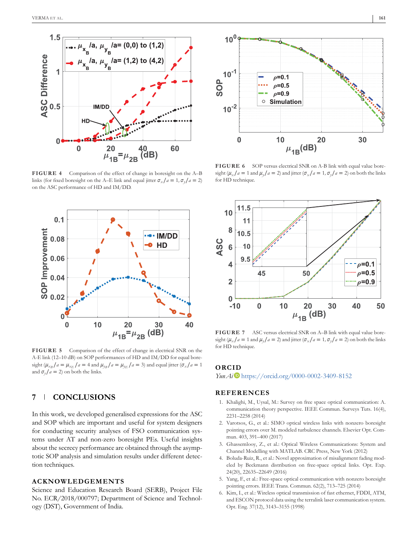

**FIGURE 4** Comparison of the effect of change in boresight on the A–B links (for fixed boresight on the A–E link and equal jitter  $\sigma_{\rm x}/a = 1, \sigma_{\rm y}/a = 2$ ) on the ASC performance of HD and IM/DD.



**FIGURE 5** Comparison of the effect of change in electrical SNR on the A-E link (12–10 dB) on SOP performances of HD and IM/DD for equal boresight ( $\mu_{x}$  /*a* =  $\mu_{x}$  /*a* = 4 and  $\mu_{y}$ /*a* =  $\mu_{y}$ /*a* = 3) and equal jitter ( $\sigma_x$ /*a* = 1 and  $\sigma_{\nu}/a = 2$ ) on both the links.

# **7 CONCLUSIONS**

In this work, we developed generalised expressions for the ASC and SOP which are important and useful for system designers for conducting security analyses of FSO communication systems under AT and non-zero boresight PEs. Useful insights about the secrecy performance are obtained through the asymptotic SOP analysis and simulation results under different detection techniques.

## **ACKNOWLEDGEMENTS**

Science and Education Research Board (SERB), Project File No. ECR/2018/000797; Department of Science and Technology (DST), Government of India.



FIGURE 6 SOP versus electrical SNR on A-B link with equal value boresight ( $\mu_x/a = 1$  and  $\mu_y/a = 2$ ) and jitter ( $\sigma_x/a = 1$ ,  $\sigma_y/a = 2$ ) on both the links for HD technique.



**FIGURE 7** ASC versus electrical SNR on A–B link with equal value boresight ( $\mu_x/a = 1$  and  $\mu_y/a = 2$ ) and jitter ( $\sigma_x/a = 1$ ,  $\sigma_y/a = 2$ ) on both the links for HD technique.

#### **ORCID**

*Yun Ai* https://orcid.org/0000-0002-3409-8152

#### **REFERENCES**

- 1. Khalighi, M., Uysal, M.: Survey on free space optical communication: A. communication theory perspective. IEEE Commun. Surveys Tuts. 16(4), 2231–2258 (2014)
- 2. Varotsos, G., et al.: SIMO optical wireless links with nonzero boresight pointing errors over M. modeled turbulence channels. Elsevier Opt. Commun. 403, 391–400 (2017)
- 3. Ghassemlooy, Z., et al.: Optical Wireless Communications: System and Channel Modelling with MATLAB. CRC Press, New York (2012)
- 4. Boluda-Ruiz, R., et al.: Novel approximation of misalignment fading modeled by Beckmann distribution on free-space optical links. Opt. Exp. 24(20), 22635–22649 (2016)
- 5. Yang, F., et al.: Free-space optical communication with nonzero boresight pointing errors. IEEE Trans. Commun. 62(2), 713–725 (2014)
- 6. Kim, I., et al.: Wireless optical transmission of fast ethernet, FDDI, ATM, and ESCON protocol data using the terralink laser communication system. Opt. Eng. 37(12), 3143–3155 (1998)